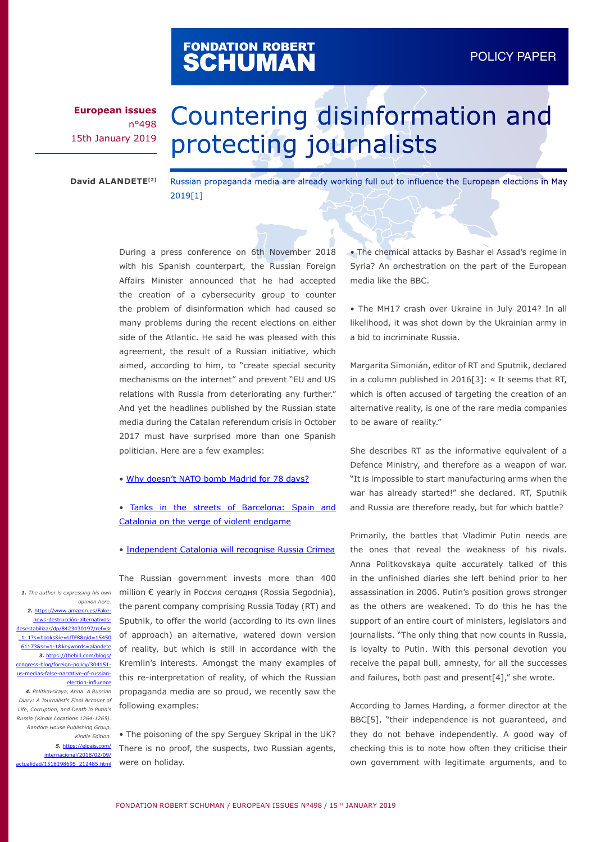## FONDATION ROBERT<br>**SCHUMAN**

**European issues** n°498 15th January 2019

## Countering disinformation and protecting journalists

**David ALANDETE[2]**

Russian propaganda media are already working full out to influence the European elections in May 2019[1]

During a press conference on 6th November 2018 with his Spanish counterpart, the Russian Foreign Affairs Minister announced that he had accepted the creation of a cybersecurity group to counter the problem of disinformation which had caused so many problems during the recent elections on either side of the Atlantic. He said he was pleased with this agreement, the result of a Russian initiative, which aimed, according to him, to "create special security mechanisms on the internet" and prevent "EU and US relations with Russia from deteriorating any further." And yet the headlines published by the Russian state media during the Catalan referendum crisis in October 2017 must have surprised more than one Spanish politician. Here are a few examples:

- • [Why doesn't NATO bomb Madrid for 78 days?](https://actualidad.rt.com/actualidad/252019-otan-bombardear-madrid-kosovo)
- [Tanks in the streets of Barcelona: Spain and](https://actualidad.rt.com/actualidad/253812-espana-cataluna-violencia-conflicto)  [Catalonia on the verge of violent endgame](https://actualidad.rt.com/actualidad/253812-espana-cataluna-violencia-conflicto)
- • [Independent Catalonia will recognise Russia Crimea](https://www.hispantv.com/noticias/espana/299406/cataluna-independiente-reconocer-crimea-rusa)

*1. The author is expressing his own opinion here.* 

*2.* [https://www.amazon.es/Fake](https://www.amazon.es/Fake-news-destrucción-alternativos-desestabilizar/dp/8423430197/ref=sr_1_1?s=books&ie=UTF8&qid=1545061173&sr=1-1&keywords=alandete)[news-destrucción-alternativos](https://www.amazon.es/Fake-news-destrucción-alternativos-desestabilizar/dp/8423430197/ref=sr_1_1?s=books&ie=UTF8&qid=1545061173&sr=1-1&keywords=alandete)tabilizar/dp/8423430197/ref= [\\_1\\_1?s=books&ie=UTF8&qid=15450](https://www.amazon.es/Fake-news-destrucción-alternativos-desestabilizar/dp/8423430197/ref=sr_1_1?s=books&ie=UTF8&qid=1545061173&sr=1-1&keywords=alandete) [61173&sr=1-1&keywords=alandete](https://www.amazon.es/Fake-news-destrucción-alternativos-desestabilizar/dp/8423430197/ref=sr_1_1?s=books&ie=UTF8&qid=1545061173&sr=1-1&keywords=alandete) *3.* [https://thehill.com/blogs/](https://thehill.com/blogs/congress-blog/foreign-policy/304151-us-medias-false-narrative-of-russian-election-influence 
) ess-blog/foreign-policy/304151us-medias-false-narrative-of-russi [election-influence](https://thehill.com/blogs/congress-blog/foreign-policy/304151-us-medias-false-narrative-of-russian-election-influence 
)

*4. Politkovskaya, Anna. A Russian Diary: A Journalist's Final Account of Life, Corruption, and Death in Putin's Russia (Kindle Locations 1264-1265). Random House Publishing Group. Kindle Edition.* 

*5.* [https://elpais.com/](https://elpais.com/internacional/2018/02/09/actualidad/1518198695_212485.html) [internacional/2018/02/09/](https://elpais.com/internacional/2018/02/09/actualidad/1518198695_212485.html) [actualidad/1518198695\\_212485.html](https://elpais.com/internacional/2018/02/09/actualidad/1518198695_212485.html)

The Russian government invests more than 400 million € yearly in Россия сегодня (Rossia Segodnia), the parent company comprising Russia Today (RT) and Sputnik, to offer the world (according to its own lines of approach) an alternative, watered down version of reality, but which is still in accordance with the Kremlin's interests. Amongst the many examples of this re-interpretation of reality, of which the Russian propaganda media are so proud, we recently saw the following examples:

• The poisoning of the spy Serguey Skripal in the UK? There is no proof, the suspects, two Russian agents, were on holiday.

• The chemical attacks by Bashar el Assad's regime in Syria? An orchestration on the part of the European media like the BBC.

• The MH17 crash over Ukraine in July 2014? In all likelihood, it was shot down by the Ukrainian army in a bid to incriminate Russia.

Margarita Simonián, editor of RT and Sputnik, declared in a column published in 2016[3]: « It seems that RT, which is often accused of targeting the creation of an alternative reality, is one of the rare media companies to be aware of reality."

She describes RT as the informative equivalent of a Defence Ministry, and therefore as a weapon of war. "It is impossible to start manufacturing arms when the war has already started!" she declared. RT, Sputnik and Russia are therefore ready, but for which battle?

Primarily, the battles that Vladimir Putin needs are the ones that reveal the weakness of his rivals. Anna Politkovskaya quite accurately talked of this in the unfinished diaries she left behind prior to her assassination in 2006. Putin's position grows stronger as the others are weakened. To do this he has the support of an entire court of ministers, legislators and journalists. "The only thing that now counts in Russia, is loyalty to Putin. With this personal devotion you receive the papal bull, amnesty, for all the successes and failures, both past and present[4]," she wrote.

According to James Harding, a former director at the BBC[5], "their independence is not guaranteed, and they do not behave independently. A good way of checking this is to note how often they criticise their own government with legitimate arguments, and to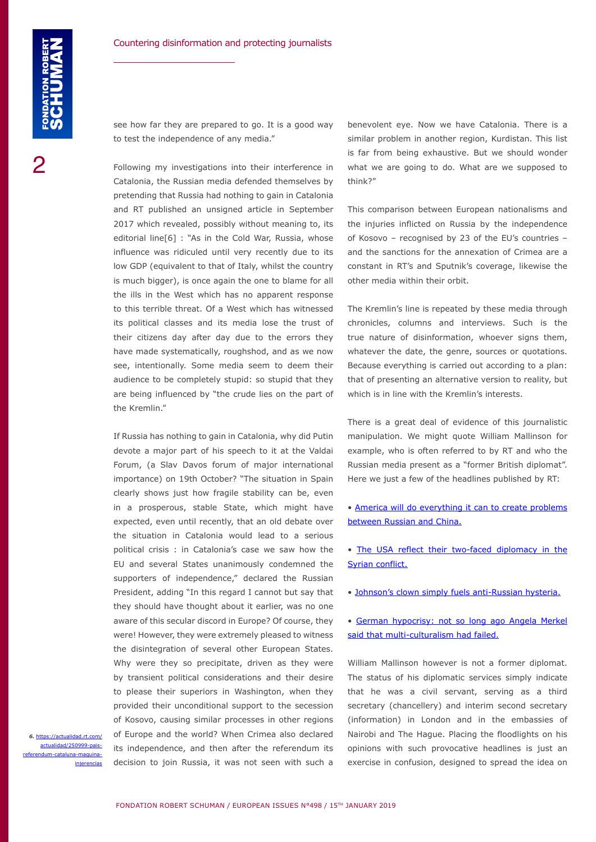see how far they are prepared to go. It is a good way to test the independence of any media."

Following my investigations into their interference in Catalonia, the Russian media defended themselves by pretending that Russia had nothing to gain in Catalonia and RT published an unsigned article in September 2017 which revealed, possibly without meaning to, its editorial line<sup>[6]</sup> : "As in the Cold War, Russia, whose influence was ridiculed until very recently due to its low GDP (equivalent to that of Italy, whilst the country is much bigger), is once again the one to blame for all the ills in the West which has no apparent response to this terrible threat. Of a West which has witnessed its political classes and its media lose the trust of their citizens day after day due to the errors they have made systematically, roughshod, and as we now see, intentionally. Some media seem to deem their audience to be completely stupid: so stupid that they are being influenced by "the crude lies on the part of the Kremlin."

If Russia has nothing to gain in Catalonia, why did Putin devote a major part of his speech to it at the Valdai Forum, (a Slav Davos forum of major international importance) on 19th October? "The situation in Spain clearly shows just how fragile stability can be, even in a prosperous, stable State, which might have expected, even until recently, that an old debate over the situation in Catalonia would lead to a serious political crisis : in Catalonia's case we saw how the EU and several States unanimously condemned the supporters of independence," declared the Russian President, adding "In this regard I cannot but say that they should have thought about it earlier, was no one aware of this secular discord in Europe? Of course, they were! However, they were extremely pleased to witness the disintegration of several other European States. Why were they so precipitate, driven as they were by transient political considerations and their desire to please their superiors in Washington, when they provided their unconditional support to the secession of Kosovo, causing similar processes in other regions of Europe and the world? When Crimea also declared its independence, and then after the referendum its decision to join Russia, it was not seen with such a

*6.* [https://actualidad.rt.com/](https://actualidad.rt.com/actualidad/250999-pais-referendum-cataluna-maquina-injerencias) [actualidad/250999-pais](https://actualidad.rt.com/actualidad/250999-pais-referendum-cataluna-maquina-injerencias)[referendum-cataluna-maquina](https://actualidad.rt.com/actualidad/250999-pais-referendum-cataluna-maquina-injerencias)[injerencias](https://actualidad.rt.com/actualidad/250999-pais-referendum-cataluna-maquina-injerencias) benevolent eye. Now we have Catalonia. There is a similar problem in another region, Kurdistan. This list is far from being exhaustive. But we should wonder what we are going to do. What are we supposed to think?"

This comparison between European nationalisms and the injuries inflicted on Russia by the independence of Kosovo – recognised by 23 of the EU's countries – and the sanctions for the annexation of Crimea are a constant in RT's and Sputnik's coverage, likewise the other media within their orbit.

The Kremlin's line is repeated by these media through chronicles, columns and interviews. Such is the true nature of disinformation, whoever signs them, whatever the date, the genre, sources or quotations. Because everything is carried out according to a plan: that of presenting an alternative version to reality, but which is in line with the Kremlin's interests.

There is a great deal of evidence of this journalistic manipulation. We might quote William Mallinson for example, who is often referred to by RT and who the Russian media present as a "former British diplomat". Here we just a few of the headlines published by RT:

- [America will do everything it can to create problems](https://www.rt.com/news/413671-china-russia-trump-strategy/)  [between Russian and China.](https://www.rt.com/news/413671-china-russia-trump-strategy/)
- [The USA reflect their two-faced diplomacy in the](https://www.rt.com/op-ed/361194-us-russia-diplomacy-syria/)  [Syrian conflict.](https://www.rt.com/op-ed/361194-us-russia-diplomacy-syria/)
- • [Johnson's clown simply fuels anti-Russian hysteria.](https://www.rt.com/op-ed/362513-boris-johnson-debate-russia/)
- [German hypocrisy: not so long ago Angela Merkel](https://www.rt.com/op-ed/339470-eu-macedonia-refugees-crisis/)  [said that multi-culturalism had failed.](https://www.rt.com/op-ed/339470-eu-macedonia-refugees-crisis/)

William Mallinson however is not a former diplomat. The status of his diplomatic services simply indicate that he was a civil servant, serving as a third secretary (chancellery) and interim second secretary (information) in London and in the embassies of Nairobi and The Hague. Placing the floodlights on his opinions with such provocative headlines is just an exercise in confusion, designed to spread the idea on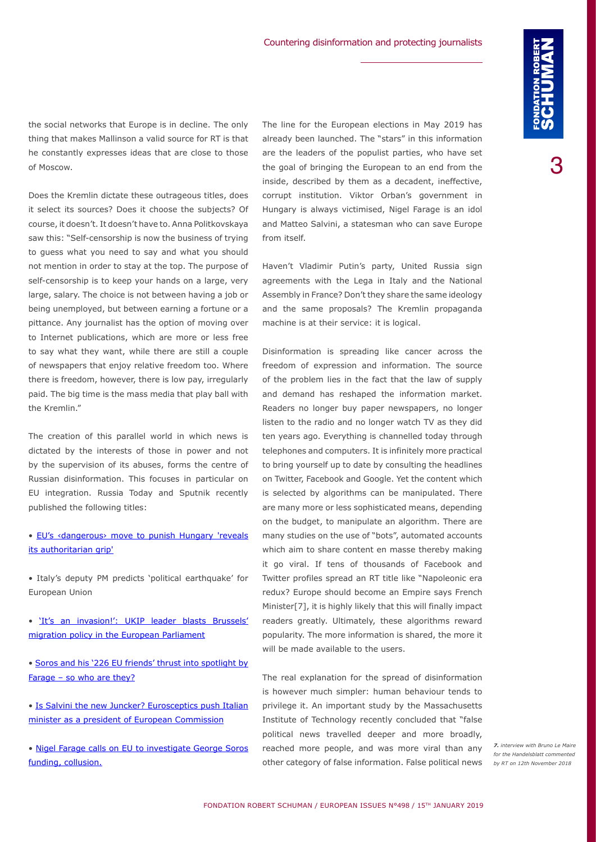the social networks that Europe is in decline. The only thing that makes Mallinson a valid source for RT is that he constantly expresses ideas that are close to those of Moscow.

Does the Kremlin dictate these outrageous titles, does it select its sources? Does it choose the subjects? Of course, it doesn't. It doesn't have to. Anna Politkovskaya saw this: "Self-censorship is now the business of trying to guess what you need to say and what you should not mention in order to stay at the top. The purpose of self-censorship is to keep your hands on a large, very large, salary. The choice is not between having a job or being unemployed, but between earning a fortune or a pittance. Any journalist has the option of moving over to Internet publications, which are more or less free to say what they want, while there are still a couple of newspapers that enjoy relative freedom too. Where there is freedom, however, there is low pay, irregularly paid. The big time is the mass media that play ball with the Kremlin."

The creation of this parallel world in which news is dictated by the interests of those in power and not by the supervision of its abuses, forms the centre of Russian disinformation. This focuses in particular on EU integration. Russia Today and Sputnik recently published the following titles:

• [EU's ‹dangerous› move to punish Hungary 'reveals](https://www.rt.com/news/438316-eu-hungary-article-seven-crazy/) [its authoritarian grip'](https://www.rt.com/news/438316-eu-hungary-article-seven-crazy/)

• Italy's deputy PM predicts 'political earthquake' for European Union

• ['It's an invasion!': UKIP leader blasts Brussels'](https://www.rt.com/news/440612-italy-european-earthquake-elections/) [migration policy in the European Parliament](https://www.rt.com/news/440612-italy-european-earthquake-elections/)

• [Soros and his '226 EU friends' thrust into spotlight by](https://www.rt.com/news/410223-soros-allies-migrants-farage-orban/) [Farage – so who are they?](https://www.rt.com/news/410223-soros-allies-migrants-farage-orban/)

• [Is Salvini the new Juncker? Eurosceptics push Italian](https://www.rt.com/news/441649-salvini-juncker-eu-presidency/) [minister as a president of European Commission](https://www.rt.com/news/441649-salvini-juncker-eu-presidency/)

• [Nigel Farage calls on EU to investigate George Soros](https://www.rt.com/uk/409818-farage-soros-funding-europe/) [funding, collusion.](https://www.rt.com/uk/409818-farage-soros-funding-europe/)

The line for the European elections in May 2019 has already been launched. The "stars" in this information are the leaders of the populist parties, who have set the goal of bringing the European to an end from the inside, described by them as a decadent, ineffective, corrupt institution. Viktor Orban's government in Hungary is always victimised, Nigel Farage is an idol and Matteo Salvini, a statesman who can save Europe from itself.

Haven't Vladimir Putin's party, United Russia sign agreements with the Lega in Italy and the National Assembly in France? Don't they share the same ideology and the same proposals? The Kremlin propaganda machine is at their service: it is logical.

Disinformation is spreading like cancer across the freedom of expression and information. The source of the problem lies in the fact that the law of supply and demand has reshaped the information market. Readers no longer buy paper newspapers, no longer listen to the radio and no longer watch TV as they did ten years ago. Everything is channelled today through telephones and computers. It is infinitely more practical to bring yourself up to date by consulting the headlines on Twitter, Facebook and Google. Yet the content which is selected by algorithms can be manipulated. There are many more or less sophisticated means, depending on the budget, to manipulate an algorithm. There are many studies on the use of "bots", automated accounts which aim to share content en masse thereby making it go viral. If tens of thousands of Facebook and Twitter profiles spread an RT title like "Napoleonic era redux? Europe should become an Empire says French Minister[7], it is highly likely that this will finally impact readers greatly. Ultimately, these algorithms reward popularity. The more information is shared, the more it will be made available to the users.

The real explanation for the spread of disinformation is however much simpler: human behaviour tends to privilege it. An important study by the Massachusetts Institute of Technology recently concluded that "false political news travelled deeper and more broadly, reached more people, and was more viral than any other category of false information. False political news

*7. interview with Bruno Le Maire for the Handelsblatt commented by RT on 12th November 2018*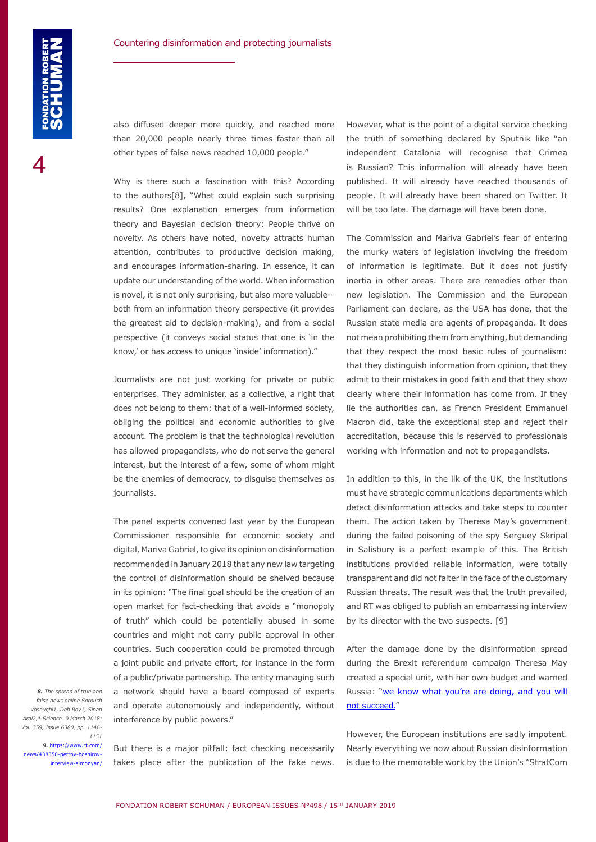also diffused deeper more quickly, and reached more than 20,000 people nearly three times faster than all other types of false news reached 10,000 people."

Why is there such a fascination with this? According to the authors[8], "What could explain such surprising results? One explanation emerges from information theory and Bayesian decision theory: People thrive on novelty. As others have noted, novelty attracts human attention, contributes to productive decision making, and encourages information-sharing. In essence, it can update our understanding of the world. When information is novel, it is not only surprising, but also more valuable- both from an information theory perspective (it provides the greatest aid to decision-making), and from a social perspective (it conveys social status that one is 'in the know,' or has access to unique 'inside' information)."

Journalists are not just working for private or public enterprises. They administer, as a collective, a right that does not belong to them: that of a well-informed society, obliging the political and economic authorities to give account. The problem is that the technological revolution has allowed propagandists, who do not serve the general interest, but the interest of a few, some of whom might be the enemies of democracy, to disguise themselves as journalists.

The panel experts convened last year by the European Commissioner responsible for economic society and digital, Mariva Gabriel, to give its opinion on disinformation recommended in January 2018 that any new law targeting the control of disinformation should be shelved because in its opinion: "The final goal should be the creation of an open market for fact-checking that avoids a "monopoly of truth" which could be potentially abused in some countries and might not carry public approval in other countries. Such cooperation could be promoted through a joint public and private effort, for instance in the form of a public/private partnership. The entity managing such a network should have a board composed of experts and operate autonomously and independently, without interference by public powers."

*8. The spread of true and false news online Soroush Vosoughi1, Deb Roy1, Sinan Aral2,\* Science 9 March 2018: Vol. 359, Issue 6380, pp. 1146- 1151*

*9.* [https://www.rt.com/](https://www.rt.com/news/438350-petrov-boshirov-interview-simonyan/) [news/438350-petrov-boshirov](https://www.rt.com/news/438350-petrov-boshirov-interview-simonyan/)[interview-simonyan/](https://www.rt.com/news/438350-petrov-boshirov-interview-simonyan/)

But there is a major pitfall: fact checking necessarily takes place after the publication of the fake news.

However, what is the point of a digital service checking the truth of something declared by Sputnik like "an independent Catalonia will recognise that Crimea is Russian? This information will already have been published. It will already have reached thousands of people. It will already have been shared on Twitter. It will be too late. The damage will have been done.

The Commission and Mariva Gabriel's fear of entering the murky waters of legislation involving the freedom of information is legitimate. But it does not justify inertia in other areas. There are remedies other than new legislation. The Commission and the European Parliament can declare, as the USA has done, that the Russian state media are agents of propaganda. It does not mean prohibiting them from anything, but demanding that they respect the most basic rules of journalism: that they distinguish information from opinion, that they admit to their mistakes in good faith and that they show clearly where their information has come from. If they lie the authorities can, as French President Emmanuel Macron did, take the exceptional step and reject their accreditation, because this is reserved to professionals working with information and not to propagandists.

In addition to this, in the ilk of the UK, the institutions must have strategic communications departments which detect disinformation attacks and take steps to counter them. The action taken by Theresa May's government during the failed poisoning of the spy Serguey Skripal in Salisbury is a perfect example of this. The British institutions provided reliable information, were totally transparent and did not falter in the face of the customary Russian threats. The result was that the truth prevailed, and RT was obliged to publish an embarrassing interview by its director with the two suspects. [9]

After the damage done by the disinformation spread during the Brexit referendum campaign Theresa May created a special unit, with her own budget and warned Russia: "we know what you're are doing, and you will [not succeed.](https://news.sky.com/story/theresa-may-launches-powerful-attack-on-russia-meddling-11125693)"

However, the European institutions are sadly impotent. Nearly everything we now about Russian disinformation is due to the memorable work by the Union's "StratCom